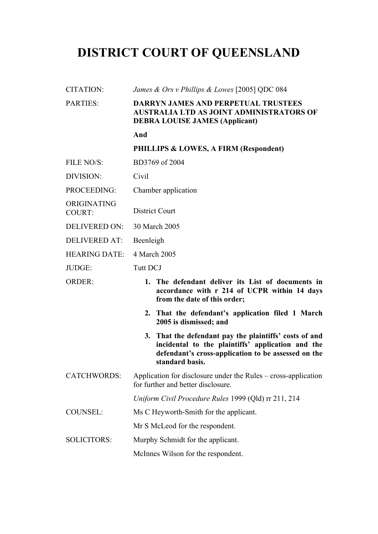# **DISTRICT COURT OF QUEENSLAND**

| <b>CITATION:</b>             | James & Ors v Phillips & Lowes [2005] QDC 084                                                                                                                                         |  |
|------------------------------|---------------------------------------------------------------------------------------------------------------------------------------------------------------------------------------|--|
| <b>PARTIES:</b>              | <b>DARRYN JAMES AND PERPETUAL TRUSTEES</b><br><b>AUSTRALIA LTD AS JOINT ADMINISTRATORS OF</b><br><b>DEBRA LOUISE JAMES (Applicant)</b>                                                |  |
|                              | And                                                                                                                                                                                   |  |
|                              | PHILLIPS & LOWES, A FIRM (Respondent)                                                                                                                                                 |  |
| FILE NO/S:                   | BD3769 of 2004                                                                                                                                                                        |  |
| DIVISION:                    | Civil                                                                                                                                                                                 |  |
| PROCEEDING:                  | Chamber application                                                                                                                                                                   |  |
| ORIGINATING<br><b>COURT:</b> | <b>District Court</b>                                                                                                                                                                 |  |
| <b>DELIVERED ON:</b>         | 30 March 2005                                                                                                                                                                         |  |
| <b>DELIVERED AT:</b>         | Beenleigh                                                                                                                                                                             |  |
| <b>HEARING DATE:</b>         | 4 March 2005                                                                                                                                                                          |  |
| JUDGE:                       | <b>Tutt DCJ</b>                                                                                                                                                                       |  |
| <b>ORDER:</b>                | 1. The defendant deliver its List of documents in<br>accordance with r 214 of UCPR within 14 days<br>from the date of this order;                                                     |  |
|                              | 2. That the defendant's application filed 1 March<br>2005 is dismissed; and                                                                                                           |  |
|                              | 3. That the defendant pay the plaintiffs' costs of and<br>incidental to the plaintiffs' application and the<br>defendant's cross-application to be assessed on the<br>standard basis. |  |
| <b>CATCHWORDS:</b>           | Application for disclosure under the Rules – cross-application<br>for further and better disclosure.                                                                                  |  |
|                              | Uniform Civil Procedure Rules 1999 (Qld) rr 211, 214                                                                                                                                  |  |
| <b>COUNSEL:</b>              | Ms C Heyworth-Smith for the applicant.                                                                                                                                                |  |
|                              | Mr S McLeod for the respondent.                                                                                                                                                       |  |
| <b>SOLICITORS:</b>           | Murphy Schmidt for the applicant.                                                                                                                                                     |  |
|                              | McInnes Wilson for the respondent.                                                                                                                                                    |  |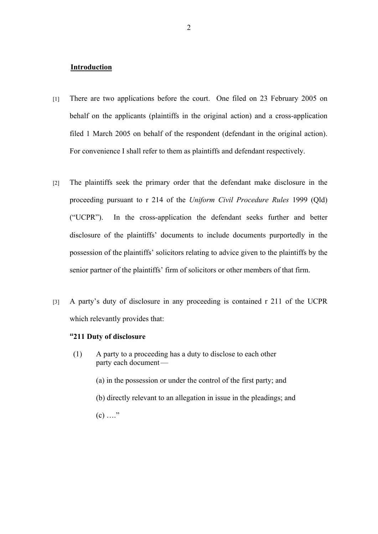### **Introduction**

- [1] There are two applications before the court. One filed on 23 February 2005 on behalf on the applicants (plaintiffs in the original action) and a cross-application filed 1 March 2005 on behalf of the respondent (defendant in the original action). For convenience I shall refer to them as plaintiffs and defendant respectively.
- [2] The plaintiffs seek the primary order that the defendant make disclosure in the proceeding pursuant to r 214 of the *Uniform Civil Procedure Rules* 1999 (Qld) ("UCPR"). In the cross-application the defendant seeks further and better disclosure of the plaintiffs' documents to include documents purportedly in the possession of the plaintiffs' solicitors relating to advice given to the plaintiffs by the senior partner of the plaintiffs' firm of solicitors or other members of that firm.
- [3] A party's duty of disclosure in any proceeding is contained r 211 of the UCPR which relevantly provides that:

## **"211 Duty of disclosure**

- (1) A party to a proceeding has a duty to disclose to each other party each document—
	- (a) in the possession or under the control of the first party; and
	- (b) directly relevant to an allegation in issue in the pleadings; and
	- $(c)$  ...."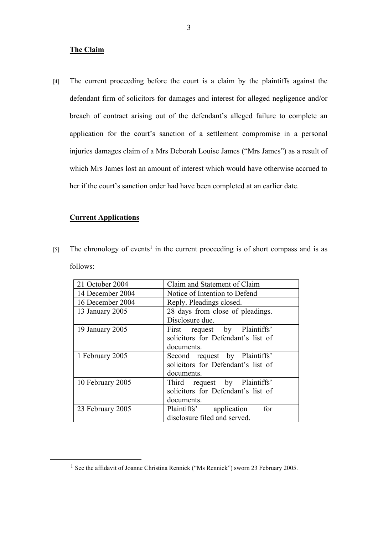## **The Claim**

[4] The current proceeding before the court is a claim by the plaintiffs against the defendant firm of solicitors for damages and interest for alleged negligence and/or breach of contract arising out of the defendant's alleged failure to complete an application for the court's sanction of a settlement compromise in a personal injuries damages claim of a Mrs Deborah Louise James ("Mrs James") as a result of which Mrs James lost an amount of interest which would have otherwise accrued to her if the court's sanction order had have been completed at an earlier date.

## **Current Applications**

 $[5]$  The chronology of events<sup>1</sup> in the current proceeding is of short compass and is as follows:

| 21 October 2004  | Claim and Statement of Claim                                                        |
|------------------|-------------------------------------------------------------------------------------|
| 14 December 2004 | Notice of Intention to Defend                                                       |
| 16 December 2004 | Reply. Pleadings closed.                                                            |
| 13 January 2005  | 28 days from close of pleadings.<br>Disclosure due.                                 |
| 19 January 2005  | First request by Plaintiffs'<br>solicitors for Defendant's list of<br>documents.    |
| 1 February 2005  | Second request by Plaintiffs'<br>solicitors for Defendant's list of<br>documents.   |
| 10 February 2005 | request by Plaintiffs'<br>Third<br>solicitors for Defendant's list of<br>documents. |
| 23 February 2005 | Plaintiffs' application<br>for<br>disclosure filed and served.                      |

<sup>&</sup>lt;sup>1</sup> See the affidavit of Joanne Christina Rennick ("Ms Rennick") sworn 23 February 2005.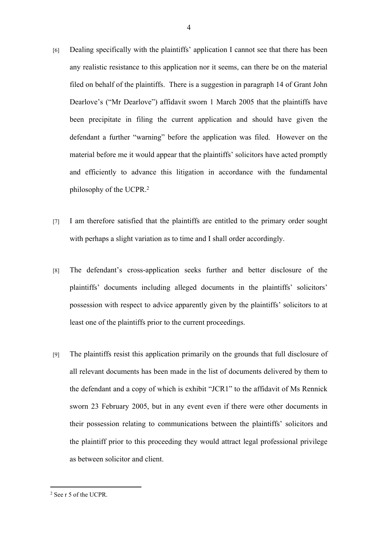- [6] Dealing specifically with the plaintiffs' application I cannot see that there has been any realistic resistance to this application nor it seems, can there be on the material filed on behalf of the plaintiffs. There is a suggestion in paragraph 14 of Grant John Dearlove's ("Mr Dearlove") affidavit sworn 1 March 2005 that the plaintiffs have been precipitate in filing the current application and should have given the defendant a further "warning" before the application was filed. However on the material before me it would appear that the plaintiffs' solicitors have acted promptly and efficiently to advance this litigation in accordance with the fundamental philosophy of the UCPR.<sup>2</sup>
- [7] I am therefore satisfied that the plaintiffs are entitled to the primary order sought with perhaps a slight variation as to time and I shall order accordingly.
- [8] The defendant's cross-application seeks further and better disclosure of the plaintiffs' documents including alleged documents in the plaintiffs' solicitors' possession with respect to advice apparently given by the plaintiffs' solicitors to at least one of the plaintiffs prior to the current proceedings.
- [9] The plaintiffs resist this application primarily on the grounds that full disclosure of all relevant documents has been made in the list of documents delivered by them to the defendant and a copy of which is exhibit "JCR1" to the affidavit of Ms Rennick sworn 23 February 2005, but in any event even if there were other documents in their possession relating to communications between the plaintiffs' solicitors and the plaintiff prior to this proceeding they would attract legal professional privilege as between solicitor and client.

<sup>2</sup> See r 5 of the UCPR.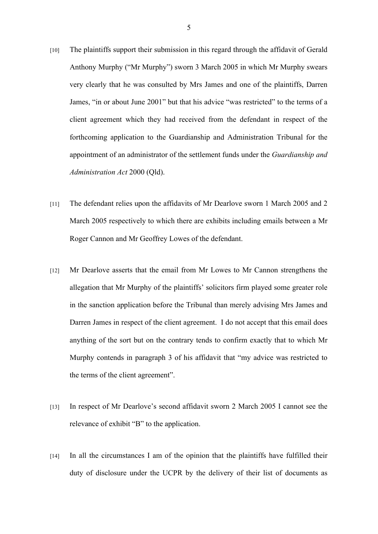- [10] The plaintiffs support their submission in this regard through the affidavit of Gerald Anthony Murphy ("Mr Murphy") sworn 3 March 2005 in which Mr Murphy swears very clearly that he was consulted by Mrs James and one of the plaintiffs, Darren James, "in or about June 2001" but that his advice "was restricted" to the terms of a client agreement which they had received from the defendant in respect of the forthcoming application to the Guardianship and Administration Tribunal for the appointment of an administrator of the settlement funds under the *Guardianship and Administration Act* 2000 (Qld).
- [11] The defendant relies upon the affidavits of Mr Dearlove sworn 1 March 2005 and 2 March 2005 respectively to which there are exhibits including emails between a Mr Roger Cannon and Mr Geoffrey Lowes of the defendant.
- [12] Mr Dearlove asserts that the email from Mr Lowes to Mr Cannon strengthens the allegation that Mr Murphy of the plaintiffs' solicitors firm played some greater role in the sanction application before the Tribunal than merely advising Mrs James and Darren James in respect of the client agreement. I do not accept that this email does anything of the sort but on the contrary tends to confirm exactly that to which Mr Murphy contends in paragraph 3 of his affidavit that "my advice was restricted to the terms of the client agreement".
- [13] In respect of Mr Dearlove's second affidavit sworn 2 March 2005 I cannot see the relevance of exhibit "B" to the application.
- [14] In all the circumstances I am of the opinion that the plaintiffs have fulfilled their duty of disclosure under the UCPR by the delivery of their list of documents as